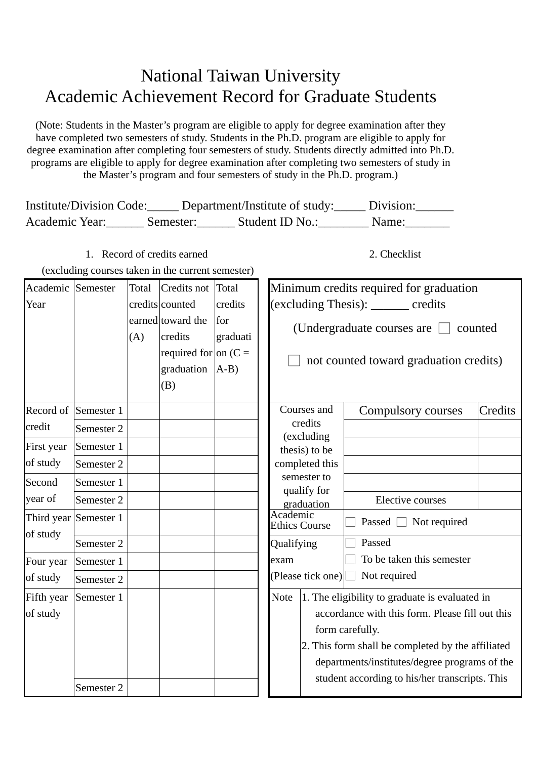## National Taiwan University Academic Achievement Record for Graduate Students

(Note: Students in the Master's program are eligible to apply for degree examination after they have completed two semesters of study. Students in the Ph.D. program are eligible to apply for degree examination after completing four semesters of study. Students directly admitted into Ph.D. programs are eligible to apply for degree examination after completing two semesters of study in the Master's program and four semesters of study in the Ph.D. program.)

| <b>Institute/Division Code:</b> |           | Department/Institute of study: | Division: |
|---------------------------------|-----------|--------------------------------|-----------|
| Academic Year:                  | Semester: | Student ID No.:                | Name:     |

1. Record of credits earned (excluding courses taken in the current semester) 2. Checklist

| Academic Semester |                       | Total | Credits not                          | Total           |                                                 | Minimum credits required for graduation                              |                               |         |
|-------------------|-----------------------|-------|--------------------------------------|-----------------|-------------------------------------------------|----------------------------------------------------------------------|-------------------------------|---------|
| Year              |                       |       | credits counted                      | credits         |                                                 | (excluding Thesis): ______ credits                                   |                               |         |
|                   |                       | (A)   | earned toward the<br>credits         | for<br>graduati |                                                 | (Undergraduate courses are $\Box$<br>counted                         |                               |         |
|                   |                       |       | required for on $(C =$<br>graduation | $(A-B)$         |                                                 | not counted toward graduation credits)                               |                               |         |
|                   |                       |       | (B)                                  |                 |                                                 |                                                                      |                               |         |
|                   | Record of Semester 1  |       |                                      |                 |                                                 | Courses and                                                          | Compulsory courses            | Credits |
| credit            | Semester 2            |       |                                      |                 |                                                 | credits<br>(excluding                                                |                               |         |
| First year        | Semester 1            |       |                                      |                 |                                                 | thesis) to be                                                        |                               |         |
| of study          | Semester 2            |       |                                      |                 |                                                 | completed this                                                       |                               |         |
| Second            | Semester 1            |       |                                      |                 |                                                 | semester to                                                          |                               |         |
| year of           | Semester 2            |       |                                      |                 | qualify for<br>graduation                       |                                                                      | Elective courses              |         |
| of study          | Third year Semester 1 |       |                                      |                 | Academic                                        | <b>Ethics Course</b>                                                 | Not required<br>Passed $\Box$ |         |
|                   | Semester 2            |       |                                      |                 |                                                 | Passed<br>Qualifying                                                 |                               |         |
| Four year         | Semester 1            |       |                                      |                 | exam                                            | To be taken this semester<br>Not required<br>(Please tick one)       |                               |         |
| of study          | Semester 2            |       |                                      |                 |                                                 |                                                                      |                               |         |
| Fifth year        | Semester 1            |       |                                      |                 | <b>Note</b>                                     | 1. The eligibility to graduate is evaluated in                       |                               |         |
| of study          |                       |       |                                      |                 | accordance with this form. Please fill out this |                                                                      |                               |         |
|                   |                       |       |                                      |                 |                                                 | form carefully.<br>2. This form shall be completed by the affiliated |                               |         |
|                   |                       |       |                                      |                 |                                                 |                                                                      |                               |         |
|                   |                       |       |                                      |                 | departments/institutes/degree programs of the   |                                                                      |                               |         |
|                   | Semester 2            |       |                                      |                 |                                                 | student according to his/her transcripts. This                       |                               |         |